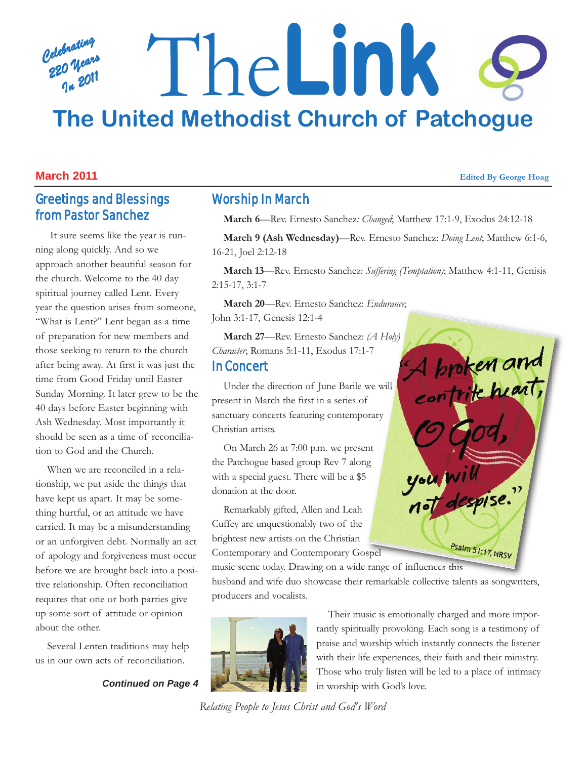### *Celebrating 220 Years In 2011* The**Link The United Methodist Church of Patchogue**

#### **March 2011 Edited By George Hoag**

#### Greetings and Blessings from Pastor Sanchez

It sure seems like the year is running along quickly. And so we approach another beautiful season for the church. Welcome to the 40 day spiritual journey called Lent. Every year the question arises from someone, "What is Lent?" Lent began as a time of preparation for new members and those seeking to return to the church after being away. At first it was just the time from Good Friday until Easter Sunday Morning. It later grew to be the 40 days before Easter beginning with Ash Wednesday. Most importantly it should be seen as a time of reconciliation to God and the Church.

When we are reconciled in a relationship, we put aside the things that have kept us apart. It may be something hurtful, or an attitude we have carried. It may be a misunderstanding or an unforgiven debt. Normally an act of apology and forgiveness must occur before we are brought back into a positive relationship. Often reconciliation requires that one or both parties give up some sort of attitude or opinion about the other.

Several Lenten traditions may help us in our own acts of reconciliation.

*Continued on Page 4*

#### Worship In March

**March 6**—Rev. Ernesto Sanchez*: Changed*; Matthew 17:1-9, Exodus 24:12-18

**March 9 (Ash Wednesday)**—Rev. Ernesto Sanchez: *Doing Lent*; Matthew 6:1-6, 16-21, Joel 2:12-18

**March 13**—Rev. Ernesto Sanchez: *Suffering (Temptation)*; Matthew 4:1-11, Genisis 2:15-17, 3:1-7

**March 20**—Rev. Ernesto Sanchez: *Endurance*; John 3:1-17, Genesis 12:1-4

**March 27**—Rev. Ernesto Sanchez: *(A Holy) Character*; Romans 5:1-11, Exodus 17:1-7 In Concert

Under the direction of June Barile we will present in March the first in a series of sanctuary concerts featuring contemporary Christian artists.

On March 26 at 7:00 p.m. we present the Patchogue based group Rev 7 along with a special guest. There will be a \$5 donation at the door.

Remarkably gifted, Allen and Leah Cuffey are unquestionably two of the brightest new artists on the Christian Contemporary and Contemporary Gospel

A broken and you will Psalm 51:17, NRSV

music scene today. Drawing on a wide range of influences this husband and wife duo showcase their remarkable collective talents as songwriters, producers and vocalists.



Their music is emotionally charged and more importantly spiritually provoking. Each song is a testimony of praise and worship which instantly connects the listener with their life experiences, their faith and their ministry. Those who truly listen will be led to a place of intimacy in worship with God's love.

*Relating People to Jesus Christ and God's Word*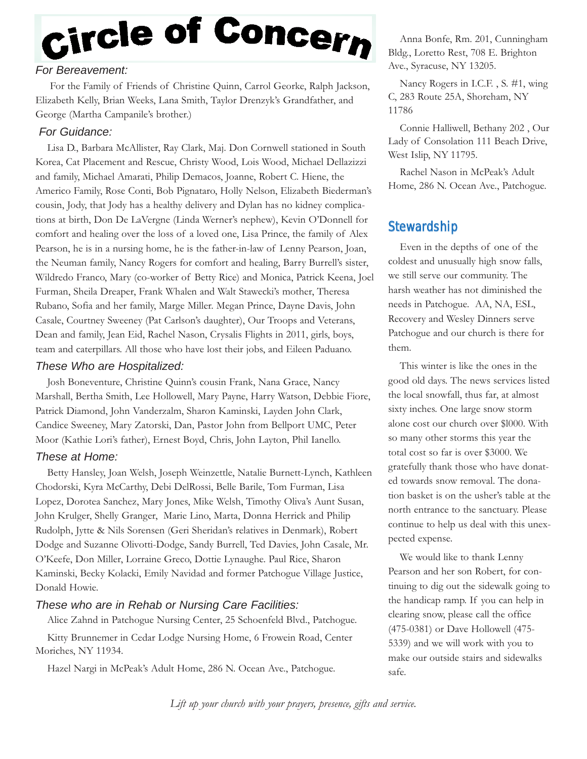# Circle of Concern

#### *For Bereavement:*

For the Family of Friends of Christine Quinn, Carrol Georke, Ralph Jackson, Elizabeth Kelly, Brian Weeks, Lana Smith, Taylor Drenzyk's Grandfather, and George (Martha Campanile's brother.)

#### *For Guidance:*

Lisa D., Barbara McAllister, Ray Clark, Maj. Don Cornwell stationed in South Korea, Cat Placement and Rescue, Christy Wood, Lois Wood, Michael Dellazizzi and family, Michael Amarati, Philip Demacos, Joanne, Robert C. Hiene, the Americo Family, Rose Conti, Bob Pignataro, Holly Nelson, Elizabeth Biederman's cousin, Jody, that Jody has a healthy delivery and Dylan has no kidney complications at birth, Don De LaVergne (Linda Werner's nephew), Kevin O'Donnell for comfort and healing over the loss of a loved one, Lisa Prince, the family of Alex Pearson, he is in a nursing home, he is the father-in-law of Lenny Pearson, Joan, the Neuman family, Nancy Rogers for comfort and healing, Barry Burrell's sister, Wildredo Franco, Mary (co-worker of Betty Rice) and Monica, Patrick Keena, Joel Furman, Sheila Dreaper, Frank Whalen and Walt Stawecki's mother, Theresa Rubano, Sofia and her family, Marge Miller. Megan Prince, Dayne Davis, John Casale, Courtney Sweeney (Pat Carlson's daughter), Our Troops and Veterans, Dean and family, Jean Eid, Rachel Nason, Crysalis Flights in 2011, girls, boys, team and caterpillars. All those who have lost their jobs, and Eileen Paduano.

#### *These Who are Hospitalized:*

Josh Boneventure, Christine Quinn's cousin Frank, Nana Grace, Nancy Marshall, Bertha Smith, Lee Hollowell, Mary Payne, Harry Watson, Debbie Fiore, Patrick Diamond, John Vanderzalm, Sharon Kaminski, Layden John Clark, Candice Sweeney, Mary Zatorski, Dan, Pastor John from Bellport UMC, Peter Moor (Kathie Lori's father), Ernest Boyd, Chris, John Layton, Phil Ianello.

#### *These at Home:*

Betty Hansley, Joan Welsh, Joseph Weinzettle, Natalie Burnett-Lynch, Kathleen Chodorski, Kyra McCarthy, Debi DelRossi, Belle Barile, Tom Furman, Lisa Lopez, Dorotea Sanchez, Mary Jones, Mike Welsh, Timothy Oliva's Aunt Susan, John Krulger, Shelly Granger, Marie Lino, Marta, Donna Herrick and Philip Rudolph, Jytte & Nils Sorensen (Geri Sheridan's relatives in Denmark), Robert Dodge and Suzanne Olivotti-Dodge, Sandy Burrell, Ted Davies, John Casale, Mr. O'Keefe, Don Miller, Lorraine Greco, Dottie Lynaughe. Paul Rice, Sharon Kaminski, Becky Kolacki, Emily Navidad and former Patchogue Village Justice, Donald Howie.

#### *These who are in Rehab or Nursing Care Facilities:*

Alice Zahnd in Patchogue Nursing Center, 25 Schoenfeld Blvd., Patchogue. Kitty Brunnemer in Cedar Lodge Nursing Home, 6 Frowein Road, Center Moriches, NY 11934.

Hazel Nargi in McPeak's Adult Home, 286 N. Ocean Ave., Patchogue.

Anna Bonfe, Rm. 201, Cunningham Bldg., Loretto Rest, 708 E. Brighton Ave., Syracuse, NY 13205.

Nancy Rogers in I.C.F. , S. #1, wing C, 283 Route 25A, Shoreham, NY 11786

Connie Halliwell, Bethany 202 , Our Lady of Consolation 111 Beach Drive, West Islip, NY 11795.

Rachel Nason in McPeak's Adult Home, 286 N. Ocean Ave., Patchogue.

#### **Stewardship**

Even in the depths of one of the coldest and unusually high snow falls, we still serve our community. The harsh weather has not diminished the needs in Patchogue. AA, NA, ESL, Recovery and Wesley Dinners serve Patchogue and our church is there for them.

This winter is like the ones in the good old days. The news services listed the local snowfall, thus far, at almost sixty inches. One large snow storm alone cost our church over \$l000. With so many other storms this year the total cost so far is over \$3000. We gratefully thank those who have donated towards snow removal. The donation basket is on the usher's table at the north entrance to the sanctuary. Please continue to help us deal with this unexpected expense.

We would like to thank Lenny Pearson and her son Robert, for continuing to dig out the sidewalk going to the handicap ramp. If you can help in clearing snow, please call the office (475-0381) or Dave Hollowell (475- 5339) and we will work with you to make our outside stairs and sidewalks safe.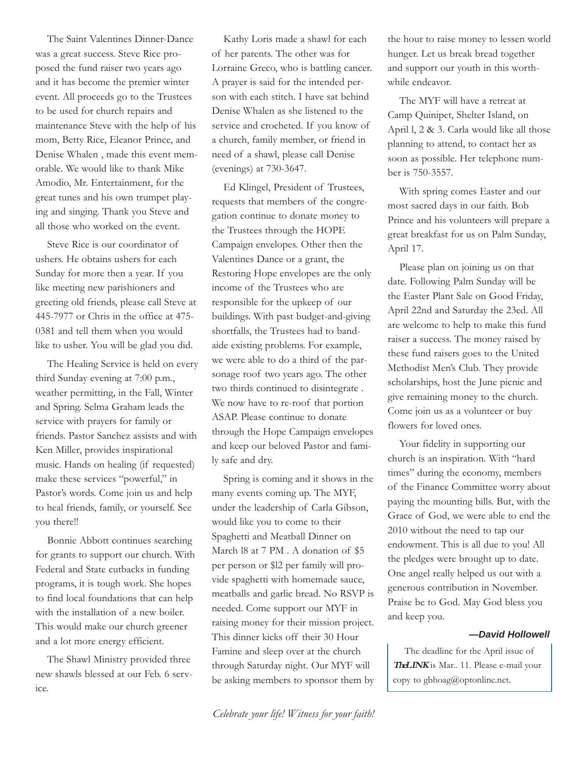The Saint Valentines Dinner-Dance was a great success. Steve Rice proposed the fund raiser two years ago and it has become the premier winter event. All proceeds go to the Trustees to be used for church repairs and maintenance Steve with the help of his mom, Betty Rice, Eleanor Prince, and Denise Whalen , made this event memorable. We would like to thank Mike Amodio, Mr. Entertainment, for the great tunes and his own trumpet playing and singing. Thank you Steve and all those who worked on the event.

Steve Rice is our coordinator of ushers. He obtains ushers for each Sunday for more then a year. If you like meeting new parishioners and greeting old friends, please call Steve at 445-7977 or Chris in the office at 475- 0381 and tell them when you would like to usher. You will be glad you did.

The Healing Service is held on every third Sunday evening at 7:00 p.m., weather permitting, in the Fall, Winter and Spring. Selma Graham leads the service with prayers for family or friends. Pastor Sanchez assists and with Ken Miller, provides inspirational music. Hands on healing (if requested) make these services "powerful," in Pastor's words. Come join us and help to heal friends, family, or yourself. See you there!!

Bonnie Abbott continues searching for grants to support our church. With Federal and State cutbacks in funding programs, it is tough work. She hopes to find local foundations that can help with the installation of a new boiler. This would make our church greener and a lot more energy efficient.

The Shawl Ministry provided three new shawls blessed at our Feb. 6 service.

Kathy Loris made a shawl for each of her parents. The other was for Lorraine Greco, who is battling cancer. A prayer is said for the intended person with each stitch. I have sat behind Denise Whalen as she listened to the service and crocheted. If you know of a church, family member, or friend in need of a shawl, please call Denise (evenings) at 730-3647.

Ed Klingel, President of Trustees, requests that members of the congregation continue to donate money to the Trustees through the HOPE Campaign envelopes. Other then the Valentines Dance or a grant, the Restoring Hope envelopes are the only income of the Trustees who are responsible for the upkeep of our buildings. With past budget-and-giving shortfalls, the Trustees had to bandaide existing problems. For example, we were able to do a third of the parsonage roof two years ago. The other two thirds continued to disintegrate . We now have to re-roof that portion ASAP. Please continue to donate through the Hope Campaign envelopes and keep our beloved Pastor and family safe and dry.

Spring is coming and it shows in the many events coming up. The MYF, under the leadership of Carla Gibson, would like you to come to their Spaghetti and Meatball Dinner on March l8 at 7 PM . A donation of \$5 per person or \$l2 per family will provide spaghetti with homemade sauce, meatballs and garlic bread. No RSVP is needed. Come support our MYF in raising money for their mission project. This dinner kicks off their 30 Hour Famine and sleep over at the church through Saturday night. Our MYF will be asking members to sponsor them by the hour to raise money to lessen world hunger. Let us break bread together and support our youth in this worthwhile endeavor.

The MYF will have a retreat at Camp Quinipet, Shelter Island, on April l, 2 & 3. Carla would like all those planning to attend, to contact her as soon as possible. Her telephone number is 750-3557.

With spring comes Easter and our most sacred days in our faith. Bob Prince and his volunteers will prepare a great breakfast for us on Palm Sunday, April 17.

Please plan on joining us on that date. Following Palm Sunday will be the Easter Plant Sale on Good Friday, April 22nd and Saturday the 23ed. All are welcome to help to make this fund raiser a success. The money raised by these fund raisers goes to the United Methodist Men's Club. They provide scholarships, host the June picnic and give remaining money to the church. Come join us as a volunteer or buy flowers for loved ones.

Your fidelity in supporting our church is an inspiration. With "hard times" during the economy, members of the Finance Committee worry about paying the mounting bills. But, with the Grace of God, we were able to end the 2010 without the need to tap our endowment. This is all due to you! All the pledges were brought up to date. One angel really helped us out with a generous contribution in November. Praise be to God. May God bless you and keep you.

#### *—David Hollowell*

The deadline for the April issue of **TheLINK** is Mar.. 11. Please e-mail your copy to gbhoag@optonline.net.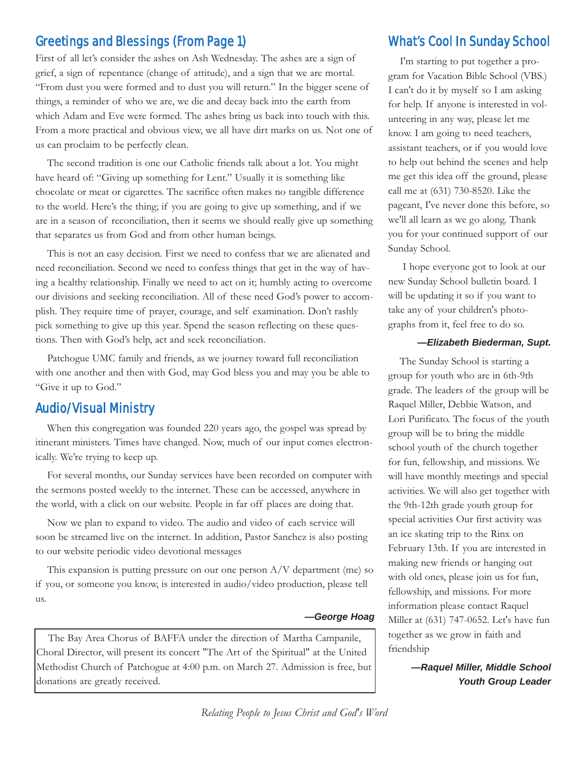#### Greetings and Blessings (From Page 1) What's Cool In Sunday School

First of all let's consider the ashes on Ash Wednesday. The ashes are a sign of grief, a sign of repentance (change of attitude), and a sign that we are mortal. "From dust you were formed and to dust you will return." In the bigger scene of things, a reminder of who we are, we die and decay back into the earth from which Adam and Eve were formed. The ashes bring us back into touch with this. From a more practical and obvious view, we all have dirt marks on us. Not one of us can proclaim to be perfectly clean.

The second tradition is one our Catholic friends talk about a lot. You might have heard of: "Giving up something for Lent." Usually it is something like chocolate or meat or cigarettes. The sacrifice often makes no tangible difference to the world. Here's the thing; if you are going to give up something, and if we are in a season of reconciliation, then it seems we should really give up something that separates us from God and from other human beings.

This is not an easy decision. First we need to confess that we are alienated and need reconciliation. Second we need to confess things that get in the way of having a healthy relationship. Finally we need to act on it; humbly acting to overcome our divisions and seeking reconciliation. All of these need God's power to accomplish. They require time of prayer, courage, and self examination. Don't rashly pick something to give up this year. Spend the season reflecting on these questions. Then with God's help, act and seek reconciliation.

Patchogue UMC family and friends, as we journey toward full reconciliation with one another and then with God, may God bless you and may you be able to "Give it up to God."

#### Audio/Visual Ministry

When this congregation was founded 220 years ago, the gospel was spread by itinerant ministers. Times have changed. Now, much of our input comes electronically. We're trying to keep up.

For several months, our Sunday services have been recorded on computer with the sermons posted weekly to the internet. These can be accessed, anywhere in the world, with a click on our website. People in far off places are doing that.

Now we plan to expand to video. The audio and video of each service will soon be streamed live on the internet. In addition, Pastor Sanchez is also posting to our website periodic video devotional messages

This expansion is putting pressure on our one person A/V department (me) so if you, or someone you know, is interested in audio/video production, please tell us.

#### *—George Hoag*

The Bay Area Chorus of BAFFA under the direction of Martha Campanile, Choral Director, will present its concert "The Art of the Spiritual" at the United Methodist Church of Patchogue at 4:00 p.m. on March 27. Admission is free, but donations are greatly received.

I'm starting to put together a program for Vacation Bible School (VBS.) I can't do it by myself so I am asking for help. If anyone is interested in volunteering in any way, please let me know. I am going to need teachers, assistant teachers, or if you would love to help out behind the scenes and help me get this idea off the ground, please call me at (631) 730-8520. Like the pageant, I've never done this before, so we'll all learn as we go along. Thank you for your continued support of our Sunday School.

I hope everyone got to look at our new Sunday School bulletin board. I will be updating it so if you want to take any of your children's photographs from it, feel free to do so.

#### *—Elizabeth Biederman, Supt.*

The Sunday School is starting a group for youth who are in 6th-9th grade. The leaders of the group will be Raquel Miller, Debbie Watson, and Lori Purificato. The focus of the youth group will be to bring the middle school youth of the church together for fun, fellowship, and missions. We will have monthly meetings and special activities. We will also get together with the 9th-12th grade youth group for special activities Our first activity was an ice skating trip to the Rinx on February 13th. If you are interested in making new friends or hanging out with old ones, please join us for fun, fellowship, and missions. For more information please contact Raquel Miller at (631) 747-0652. Let's have fun together as we grow in faith and friendship

> *—Raquel Miller, Middle School Youth Group Leader*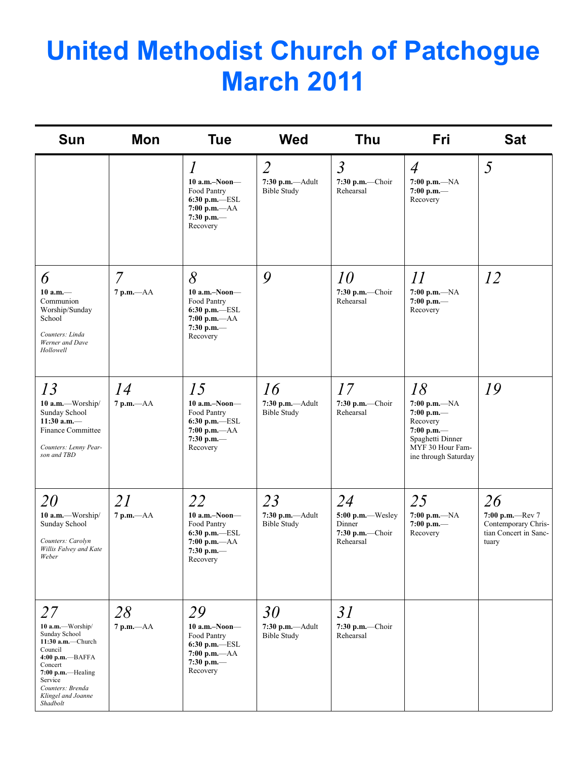## **United Methodist Church of Patchogue March 2011**

| <b>Sun</b>                                                                                                                                                                                   | Mon                            | <b>Tue</b>                                                                                                             | <b>Wed</b>                                                 | Thu                                                                | <b>Fri</b>                                                                                                                       | <b>Sat</b>                                                                     |
|----------------------------------------------------------------------------------------------------------------------------------------------------------------------------------------------|--------------------------------|------------------------------------------------------------------------------------------------------------------------|------------------------------------------------------------|--------------------------------------------------------------------|----------------------------------------------------------------------------------------------------------------------------------|--------------------------------------------------------------------------------|
|                                                                                                                                                                                              |                                | $\mathcal{I}$<br>$10$ a.m.-Noon-<br>Food Pantry<br>$6:30$ p.m. $-$ ESL<br>7:00 p.m.— $AA$<br>7:30 p.m. $-$<br>Recovery | $\overline{2}$<br>7:30 p.m.--- Adult<br><b>Bible Study</b> | $\mathfrak{Z}$<br>$7:30$ p.m.—Choir<br>Rehearsal                   | $\overline{4}$<br>7:00 p.m.— $NA$<br>7:00 p.m.-<br>Recovery                                                                      | 5                                                                              |
| 6<br>$10 a.m.$ —<br>Communion<br>Worship/Sunday<br>School<br>Counters: Linda<br>Werner and Dave<br>Hollowell                                                                                 | $\overline{7}$<br>$7 p.m. -AA$ | 8<br>$10$ a.m.-Noon-<br>Food Pantry<br>$6:30$ p.m.-ESL<br>$7:00 p.m. -AA$<br>7:30 p.m. $-$<br>Recovery                 | 9                                                          | 10<br>7:30 p.m.-Choir<br>Rehearsal                                 | 11<br>7:00 p.m.— $NA$<br>7:00 p.m.-<br>Recovery                                                                                  | 12                                                                             |
| 13<br>10 a.m.-Worship/<br>Sunday School<br>11:30 a.m. $-$<br><b>Finance Committee</b><br>Counters: Lenny Pear-<br>son and TBD                                                                | 14<br>$7 p.m. -AA$             | 15<br>$10$ a.m.–Noon–<br>Food Pantry<br>$6:30$ p.m. $-$ ESL<br>$7:00 p.m. -AA$<br>7:30 p.m.-<br>Recovery               | 16<br>$7:30$ p.m. $-Adult$<br><b>Bible Study</b>           | 17<br>$7:30$ p.m.-Choir<br>Rehearsal                               | 18<br>$7:00 p.m. -NA$<br>7:00 p.m. $-$<br>Recovery<br>7:00 p.m.-<br>Spaghetti Dinner<br>MYF 30 Hour Fam-<br>ine through Saturday | 19                                                                             |
| <i>20</i><br>10 a.m.-Worship/<br>Sunday School<br>Counters: Carolyn<br>Willis Falvey and Kate<br>Weber                                                                                       | 21<br>$7$ p.m. $-AA$           | 22<br>$10$ a.m.-Noon-<br>Food Pantry<br>6:30 p.m.-ESL<br>$7:00$ p.m. $-AA$<br>7:30 p.m. $-$<br>Recovery                | 23<br>7:30 p.m.-Adult<br><b>Bible Study</b>                | 24<br>5:00 p.m.-Wesley<br>Dinner<br>$7:30$ p.m.-Choir<br>Rehearsal | 25<br>$7:00 p.m. -NA$<br>7:00 p.m.—<br>Recovery                                                                                  | 26<br>7:00 p.m.-Rev 7<br>Contemporary Chris-<br>tian Concert in Sanc-<br>tuary |
| 27<br>10 a.m.-Worship/<br>Sunday School<br>11:30 a.m.-Church<br>Council<br>4:00 p.m.--BAFFA<br>Concert<br>7:00 p.m.-Healing<br>Service<br>Counters: Brenda<br>Klingel and Joanne<br>Shadbolt | 28<br>$7 p.m. -AA$             | 29<br>$10$ a.m.-Noon-<br>Food Pantry<br>6:30 p.m.-ESL<br>$7:00 p.m. -AA$<br>7:30 p.m. $-$<br>Recovery                  | 30<br>7:30 p.m.-Adult<br><b>Bible Study</b>                | 31<br>$7:30$ p.m.-Choir<br>Rehearsal                               |                                                                                                                                  |                                                                                |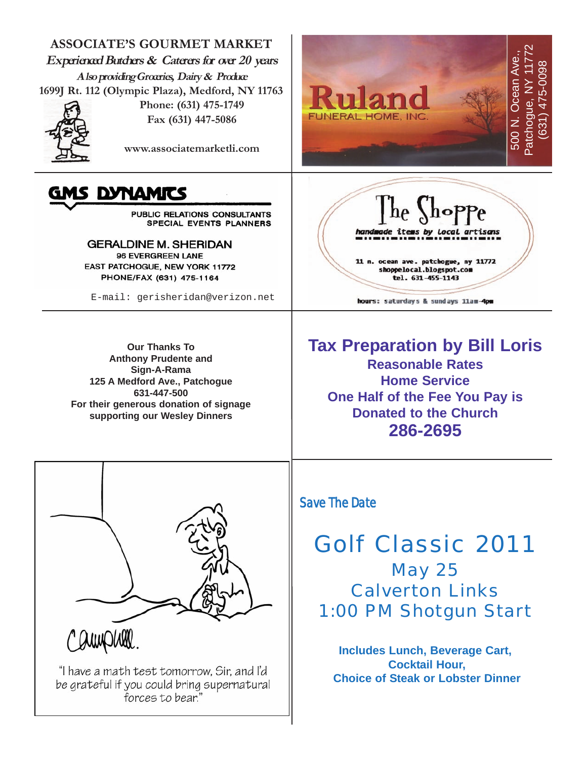

be grateful if you could bring supernatural forces to bear.'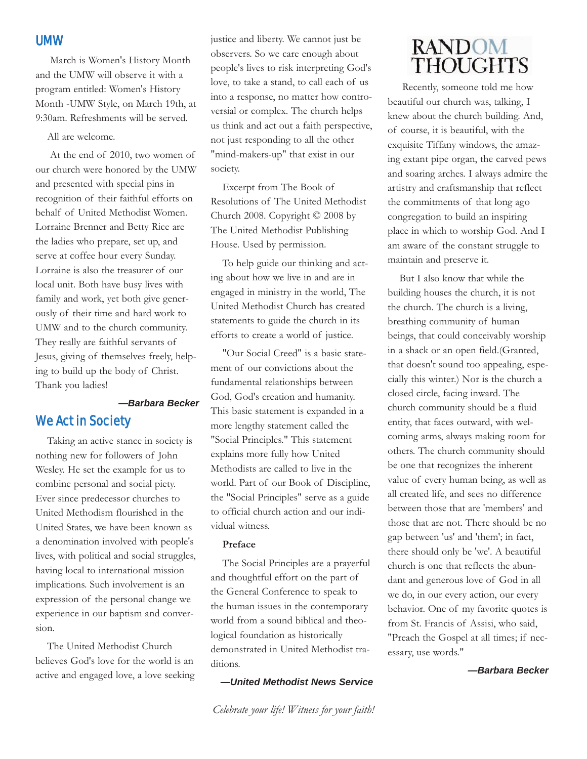#### UMW

March is Women's History Month and the UMW will observe it with a program entitled: Women's History Month -UMW Style, on March 19th, at 9:30am. Refreshments will be served.

All are welcome.

At the end of 2010, two women of our church were honored by the UMW and presented with special pins in recognition of their faithful efforts on behalf of United Methodist Women. Lorraine Brenner and Betty Rice are the ladies who prepare, set up, and serve at coffee hour every Sunday. Lorraine is also the treasurer of our local unit. Both have busy lives with family and work, yet both give generously of their time and hard work to UMW and to the church community. They really are faithful servants of Jesus, giving of themselves freely, helping to build up the body of Christ. Thank you ladies!

#### *—Barbara Becker*

#### We Act in Society

Taking an active stance in society is nothing new for followers of John Wesley. He set the example for us to combine personal and social piety. Ever since predecessor churches to United Methodism flourished in the United States, we have been known as a denomination involved with people's lives, with political and social struggles, having local to international mission implications. Such involvement is an expression of the personal change we experience in our baptism and conversion.

The United Methodist Church believes God's love for the world is an active and engaged love, a love seeking justice and liberty. We cannot just be observers. So we care enough about people's lives to risk interpreting God's love, to take a stand, to call each of us into a response, no matter how controversial or complex. The church helps us think and act out a faith perspective, not just responding to all the other "mind-makers-up" that exist in our society.

Excerpt from The Book of Resolutions of The United Methodist Church 2008. Copyright © 2008 by The United Methodist Publishing House. Used by permission.

To help guide our thinking and acting about how we live in and are in engaged in ministry in the world, The United Methodist Church has created statements to guide the church in its efforts to create a world of justice.

"Our Social Creed" is a basic statement of our convictions about the fundamental relationships between God, God's creation and humanity. This basic statement is expanded in a more lengthy statement called the "Social Principles." This statement explains more fully how United Methodists are called to live in the world. Part of our Book of Discipline, the "Social Principles" serve as a guide to official church action and our individual witness.

#### **Preface**

The Social Principles are a prayerful and thoughtful effort on the part of the General Conference to speak to the human issues in the contemporary world from a sound biblical and theological foundation as historically demonstrated in United Methodist traditions.

*—United Methodist News Service*

#### **RANDOM THOUGHTS**

Recently, someone told me how beautiful our church was, talking, I knew about the church building. And, of course, it is beautiful, with the exquisite Tiffany windows, the amazing extant pipe organ, the carved pews and soaring arches. I always admire the artistry and craftsmanship that reflect the commitments of that long ago congregation to build an inspiring place in which to worship God. And I am aware of the constant struggle to maintain and preserve it.

But I also know that while the building houses the church, it is not the church. The church is a living, breathing community of human beings, that could conceivably worship in a shack or an open field.(Granted, that doesn't sound too appealing, especially this winter.) Nor is the church a closed circle, facing inward. The church community should be a fluid entity, that faces outward, with welcoming arms, always making room for others. The church community should be one that recognizes the inherent value of every human being, as well as all created life, and sees no difference between those that are 'members' and those that are not. There should be no gap between 'us' and 'them'; in fact, there should only be 'we'. A beautiful church is one that reflects the abundant and generous love of God in all we do, in our every action, our every behavior. One of my favorite quotes is from St. Francis of Assisi, who said, "Preach the Gospel at all times; if necessary, use words."

*—Barbara Becker*

*Celebrate your life! Witness for your faith!*